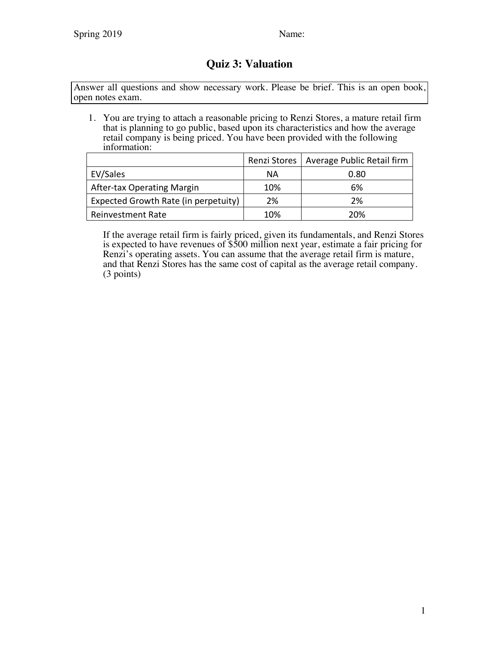## **Quiz 3: Valuation**

Answer all questions and show necessary work. Please be brief. This is an open book, open notes exam.

1. You are trying to attach a reasonable pricing to Renzi Stores, a mature retail firm that is planning to go public, based upon its characteristics and how the average retail company is being priced. You have been provided with the following information:

|                                      |     | Renzi Stores   Average Public Retail firm |
|--------------------------------------|-----|-------------------------------------------|
| EV/Sales                             | ΝA  | 0.80                                      |
| After-tax Operating Margin           | 10% | 6%                                        |
| Expected Growth Rate (in perpetuity) | 2%  | 2%                                        |
| <b>Reinvestment Rate</b>             | 10% | 20%                                       |

If the average retail firm is fairly priced, given its fundamentals, and Renzi Stores is expected to have revenues of \$500 million next year, estimate a fair pricing for Renzi's operating assets. You can assume that the average retail firm is mature, and that Renzi Stores has the same cost of capital as the average retail company. (3 points)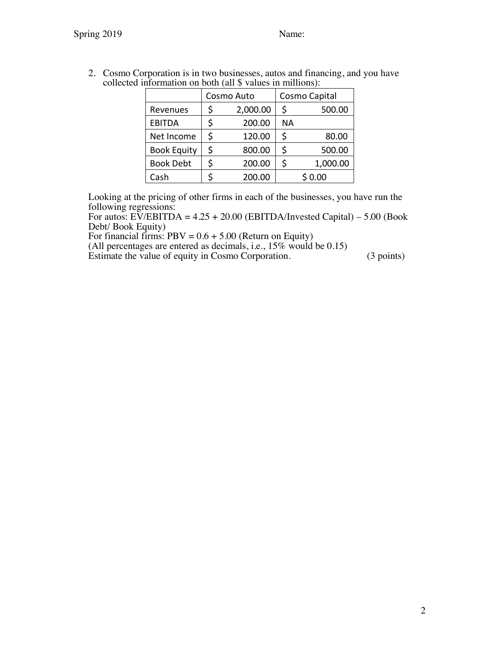| $\lim\limits_{\longrightarrow}$ $\lim\limits_{\longrightarrow}$ $\lim\limits_{\longrightarrow}$ $\lim\limits_{\longrightarrow}$ $\lim\limits_{\longrightarrow}$ |    |            |               |          |  |  |  |
|-----------------------------------------------------------------------------------------------------------------------------------------------------------------|----|------------|---------------|----------|--|--|--|
|                                                                                                                                                                 |    | Cosmo Auto | Cosmo Capital |          |  |  |  |
| Revenues                                                                                                                                                        | \$ | 2,000.00   | \$            | 500.00   |  |  |  |
| <b>EBITDA</b>                                                                                                                                                   | \$ | 200.00     | <b>NA</b>     |          |  |  |  |
| Net Income                                                                                                                                                      | \$ | 120.00     | \$            | 80.00    |  |  |  |
| <b>Book Equity</b>                                                                                                                                              | \$ | 800.00     | \$            | 500.00   |  |  |  |
| <b>Book Debt</b>                                                                                                                                                | \$ | 200.00     | \$            | 1,000.00 |  |  |  |
| Cash                                                                                                                                                            |    | 200.00     |               | \$0.00   |  |  |  |

2. Cosmo Corporation is in two businesses, autos and financing, and you have collected information on both (all \$ values in millions):

Looking at the pricing of other firms in each of the businesses, you have run the following regressions:

For autos:  $E\tilde{V}/EBITDA = 4.25 + 20.00$  (EBITDA/Invested Capital) – 5.00 (Book Debt/ Book Equity)

For financial firms:  $PBV = 0.6 + 5.00$  (Return on Equity)

(All percentages are entered as decimals, i.e., 15% would be 0.15)

Estimate the value of equity in Cosmo Corporation. (3 points)